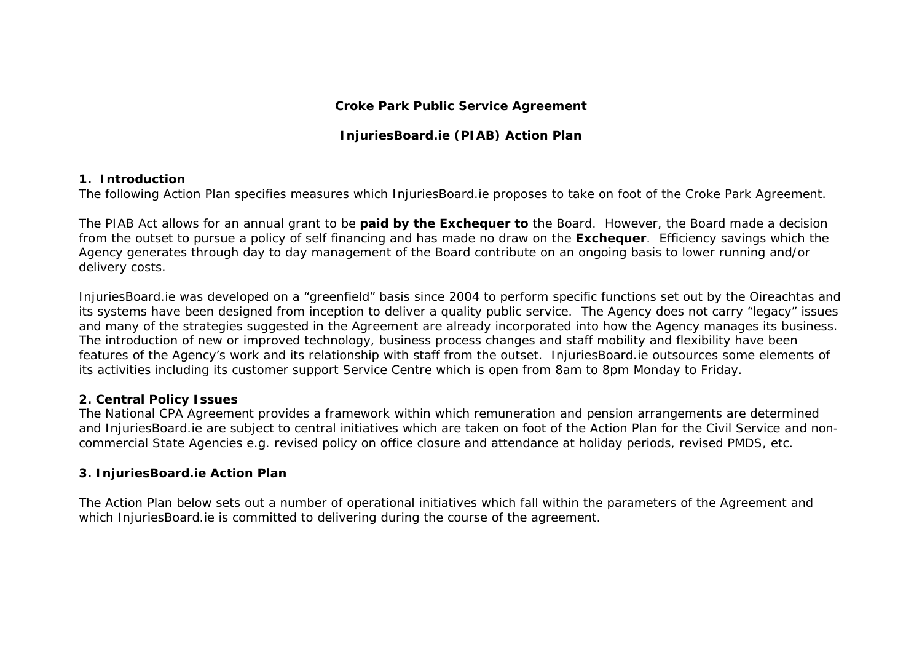#### **Croke Park Public Service Agreement**

# **InjuriesBoard.ie (PIAB) Action Plan**

### **1. Introduction**

The following Action Plan specifies measures which InjuriesBoard.ie proposes to take on foot of the Croke Park Agreement.

The PIAB Act allows for an annual grant to be **paid by the Exchequer to** the Board. However, the Board made a decision from the outset to pursue a policy of self financing and has made no draw on the **Exchequer**. Efficiency savings which the Agency generates through day to day management of the Board contribute on an ongoing basis to lower running and/or delivery costs.

InjuriesBoard.ie was developed on a "greenfield" basis since 2004 to perform specific functions set out by the Oireachtas and its systems have been designed from inception to deliver a quality public service. The Agency does not carry "legacy" issues and many of the strategies suggested in the Agreement are already incorporated into how the Agency manages its business. The introduction of new or improved technology, business process changes and staff mobility and flexibility have been features of the Agency's work and its relationship with staff from the outset. InjuriesBoard.ie outsources some elements of its activities including its customer support Service Centre which is open from 8am to 8pm Monday to Friday.

### **2. Central Policy Issues**

The National CPA Agreement provides a framework within which remuneration and pension arrangements are determined and InjuriesBoard.ie are subject to central initiatives which are taken on foot of the Action Plan for the Civil Service and noncommercial State Agencies e.g. revised policy on office closure and attendance at holiday periods, revised PMDS, etc.

## **3. InjuriesBoard.ie Action Plan**

The Action Plan below sets out a number of operational initiatives which fall within the parameters of the Agreement and which InjuriesBoard.ie is committed to delivering during the course of the agreement.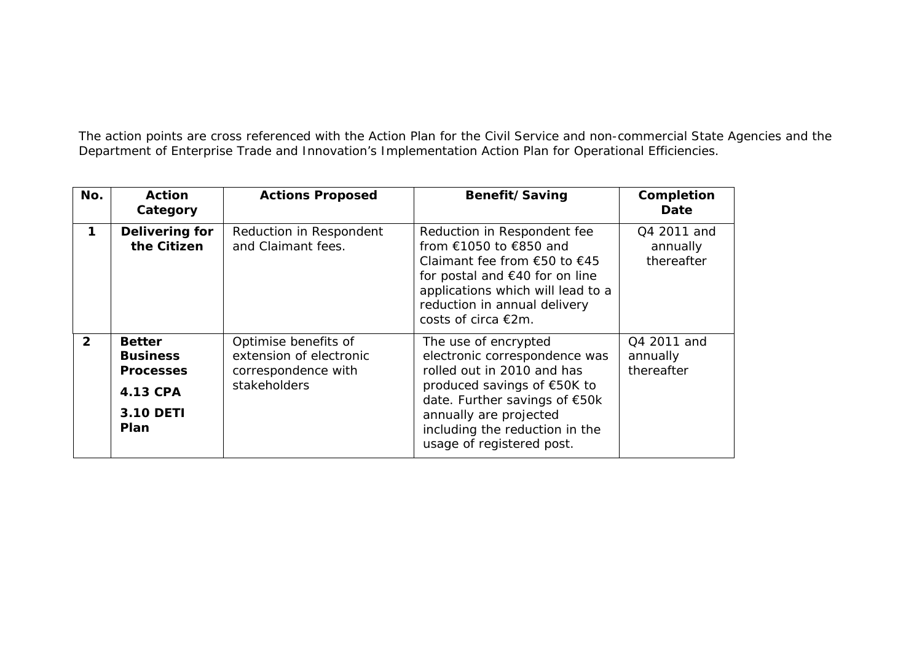The action points are cross referenced with the Action Plan for the Civil Service and non-commercial State Agencies and the Department of Enterprise Trade and Innovation's Implementation Action Plan for Operational Efficiencies.

| No.          | <b>Action</b><br>Category                                                             | <b>Actions Proposed</b>                                                                | Benefit/Saving                                                                                                                                                                                                                               | Completion<br>Date                    |
|--------------|---------------------------------------------------------------------------------------|----------------------------------------------------------------------------------------|----------------------------------------------------------------------------------------------------------------------------------------------------------------------------------------------------------------------------------------------|---------------------------------------|
| 1            | Delivering for<br>the Citizen                                                         | Reduction in Respondent<br>and Claimant fees.                                          | Reduction in Respondent fee<br>from €1050 to €850 and<br>Claimant fee from €50 to $€45$<br>for postal and $€40$ for on line<br>applications which will lead to a<br>reduction in annual delivery<br>costs of circa €2m.                      | Q4 2011 and<br>annually<br>thereafter |
| $\mathbf{2}$ | <b>Better</b><br><b>Business</b><br><b>Processes</b><br>4.13 CPA<br>3.10 DETI<br>Plan | Optimise benefits of<br>extension of electronic<br>correspondence with<br>stakeholders | The use of encrypted<br>electronic correspondence was<br>rolled out in 2010 and has<br>produced savings of €50K to<br>date. Further savings of €50k<br>annually are projected<br>including the reduction in the<br>usage of registered post. | Q4 2011 and<br>annually<br>thereafter |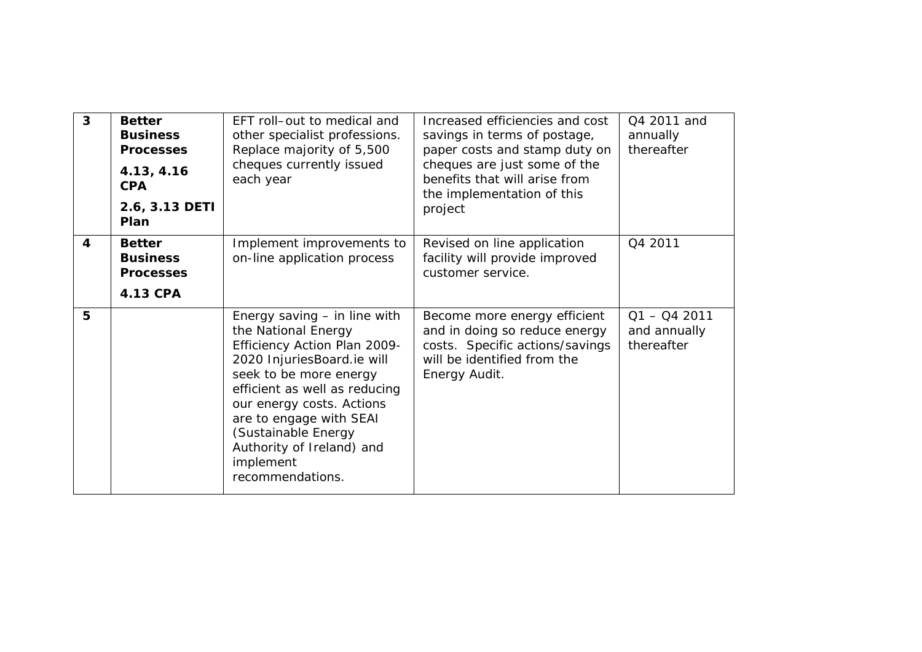| $\overline{3}$ | <b>Better</b><br><b>Business</b><br><b>Processes</b><br>4.13, 4.16<br><b>CPA</b><br>2.6, 3.13 DETI<br>Plan | EFT roll-out to medical and<br>other specialist professions.<br>Replace majority of 5,500<br>cheques currently issued<br>each year                                                                                                                                                                                          | Increased efficiencies and cost<br>savings in terms of postage,<br>paper costs and stamp duty on<br>cheques are just some of the<br>benefits that will arise from<br>the implementation of this<br>project | Q4 2011 and<br>annually<br>thereafter        |
|----------------|------------------------------------------------------------------------------------------------------------|-----------------------------------------------------------------------------------------------------------------------------------------------------------------------------------------------------------------------------------------------------------------------------------------------------------------------------|------------------------------------------------------------------------------------------------------------------------------------------------------------------------------------------------------------|----------------------------------------------|
| 4              | <b>Better</b><br><b>Business</b><br><b>Processes</b><br>4.13 CPA                                           | Implement improvements to<br>on-line application process                                                                                                                                                                                                                                                                    | Revised on line application<br>facility will provide improved<br>customer service.                                                                                                                         | Q4 2011                                      |
| 5              |                                                                                                            | Energy saving $-$ in line with<br>the National Energy<br>Efficiency Action Plan 2009-<br>2020 InjuriesBoard.ie will<br>seek to be more energy<br>efficient as well as reducing<br>our energy costs. Actions<br>are to engage with SEAI<br>(Sustainable Energy<br>Authority of Ireland) and<br>implement<br>recommendations. | Become more energy efficient<br>and in doing so reduce energy<br>costs. Specific actions/savings<br>will be identified from the<br>Energy Audit.                                                           | $Q1 - Q4$ 2011<br>and annually<br>thereafter |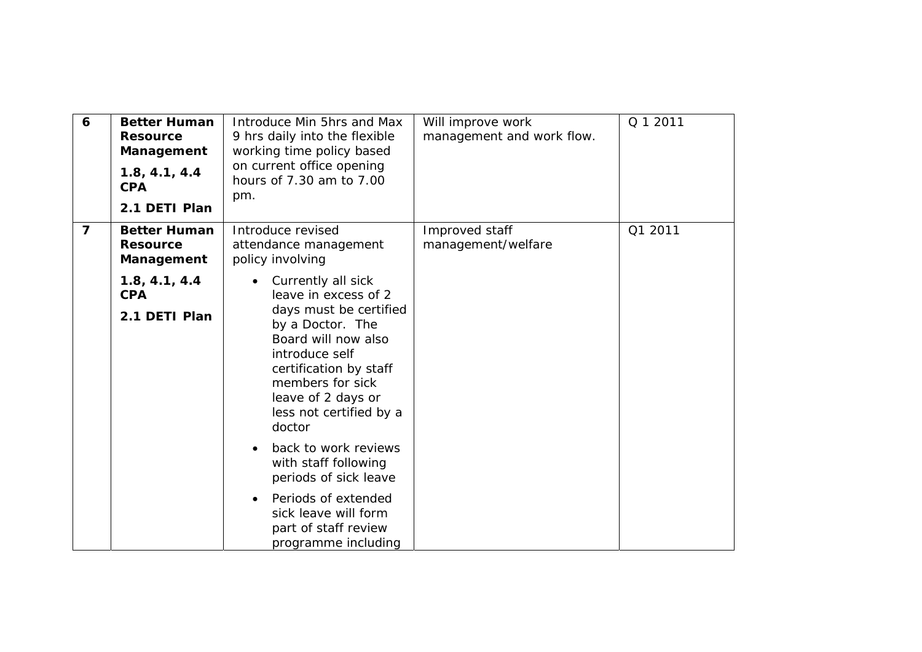| 6              | <b>Better Human</b><br><b>Resource</b><br>Management<br>1.8, 4.1, 4.4<br><b>CPA</b><br>2.1 DETI Plan | Introduce Min 5hrs and Max<br>9 hrs daily into the flexible<br>working time policy based<br>on current office opening<br>hours of 7.30 am to 7.00<br>pm.                                                                                   | Will improve work<br>management and work flow. | Q 1 2011 |
|----------------|------------------------------------------------------------------------------------------------------|--------------------------------------------------------------------------------------------------------------------------------------------------------------------------------------------------------------------------------------------|------------------------------------------------|----------|
| $\overline{7}$ | <b>Better Human</b><br><b>Resource</b><br>Management                                                 | Introduce revised<br>attendance management<br>policy involving                                                                                                                                                                             | Improved staff<br>management/welfare           | Q1 2011  |
|                | 1.8, 4.1, 4.4<br><b>CPA</b><br>2.1 DETI Plan                                                         | Currently all sick<br>leave in excess of 2<br>days must be certified<br>by a Doctor. The<br>Board will now also<br>introduce self<br>certification by staff<br>members for sick<br>leave of 2 days or<br>less not certified by a<br>doctor |                                                |          |
|                |                                                                                                      | back to work reviews<br>with staff following<br>periods of sick leave<br>Periods of extended<br>sick leave will form<br>part of staff review<br>programme including                                                                        |                                                |          |